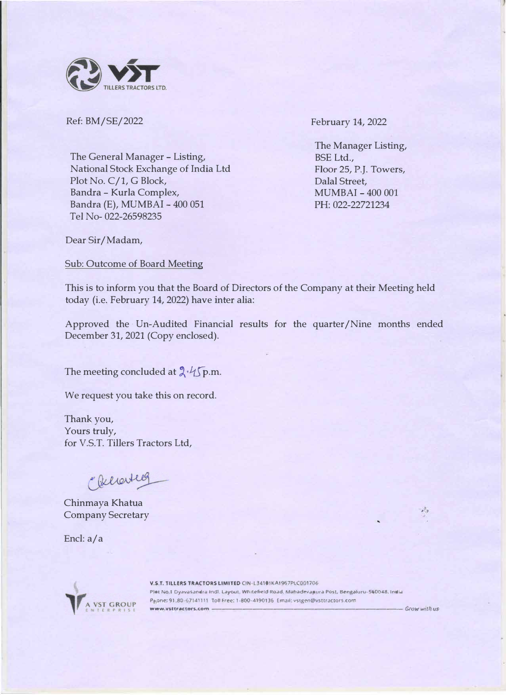

Ref: BM/SE/2022

The General Manager- Listing, National Stock Exchange of India Ltd Plot No. C/1, G Block, Bandra - Kurla Complex, Bandra (E), MUMBAI - 400 051 Tel No- 022-26598235

February 14, 2022

The Manager Listing, BSE Ltd., Floor 25, P.J. Towers, Dalal Street, MUMBAI - 400 001 PH:022-22721234

Dear Sir/Madam,

Sub: Outcome of Board Meeting

This is to inform you that the Board of Directors of the Company at their Meeting held today (i.e. February 14, 2022) have inter alia:

Approved the Un-Audited Financial results for the quarter/Nine months ended December 31, 2021 (Copy enclosed).

The meeting concluded at  $2 \sqrt{p}$ .m.

We request you take this on record.

Thank you, Yours truly, for V.S.T. Tillers Tractors Ltd,

Concerned

Chinmaya Khatua Company Secretary

Encl: a/a



**V.S.T. TILLERS TRACTORS LIMITED CIN+L34101KA1967PLC001706** Plot No.1 Dyavasandra Indl. Layout, Whitefield Road. Mahadevapura Post, Bengaluru-560048. India Phone: 91-80-67141111 Toll Free: 1-800-4190136 Email: vstgen@vsttractors.com *www.V\$ttracton.<.om -------------------Growwilltu.s* 

 $\mathcal{A}_{\mathcal{X}}$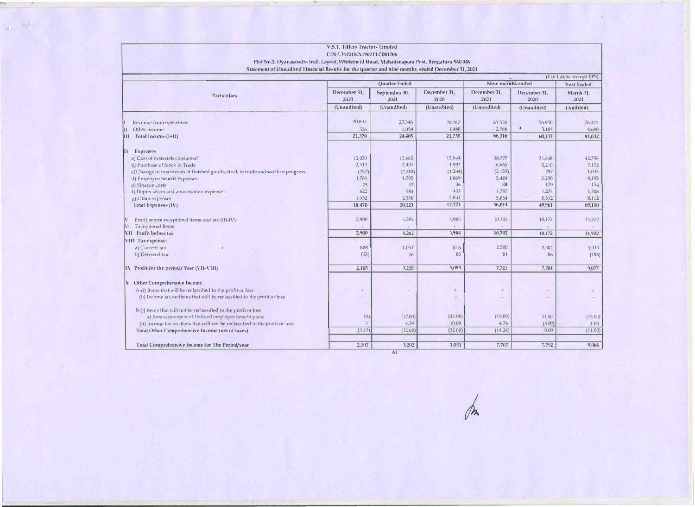|                                                                                                  | <b>V.S.T. Tillers Tractors Limited</b> |                |               |                   |                           |                          |
|--------------------------------------------------------------------------------------------------|----------------------------------------|----------------|---------------|-------------------|---------------------------|--------------------------|
|                                                                                                  | CIN-L34101KA1967PLC001706              |                |               |                   |                           |                          |
| Plot No.1, Dyavasandra Indl. Layout, Whitefield Road, Mahadevapura Post, Bengaluru 560 048       |                                        |                |               |                   |                           |                          |
| Statement of Unaudited Financial Results for the quarter and nine months ended December 31, 2021 |                                        |                |               |                   |                           |                          |
|                                                                                                  |                                        |                |               |                   |                           | (₹ in Lakhs. except EPS) |
|                                                                                                  | Quarter Ended                          |                |               | Nine months ended |                           | Year Ended               |
| <b>Particulars</b>                                                                               | December 31,                           | September 30,  | December 31,  | December 31,      | December 31,              | March 31,                |
|                                                                                                  | 2021                                   | 2021           | 2020          | 2021              | 2020                      | 2021                     |
|                                                                                                  | (Unaudited)                            | (Unaudited)    | (Unaudited)   | (Unaudited)       | (Unaudited)               | (Audited)                |
|                                                                                                  |                                        |                |               |                   |                           |                          |
| Revenue from operations                                                                          | 20,844                                 | 23,346         | 20,287        | 63,550            | 56,950                    | 76,424                   |
| Other income                                                                                     | 526                                    | 1,059          | 1,468         | 2,766             | $\pmb{\epsilon}$<br>3.183 | 4,608                    |
| III Total Income (1+11)                                                                          | 21,370                                 | 24,405         | 21,755        | 66,316            | 60,133                    | 81,032                   |
| IV Expenses                                                                                      |                                        |                |               |                   |                           |                          |
| a) Cost of materials consumed                                                                    | 12,050                                 | 15,685         | $12.6 - 44$   | 38,377            | 31,648                    | 42,736                   |
| b) Purchase of Stock in Trade                                                                    | 2,313                                  | 2,407          | 1,992         | 6,665             | 5,210                     | 7,172                    |
| c) Change in inventories of finished goods, stock in trade and work in progress                  | (257)                                  | (2,710)        | (1,2.44)      | (2, 153)          | 797                       | 1.033                    |
| d) Employee benefit Expenses                                                                     | 1,781                                  | 1,795          | 1,869         | 5,404             | 5,290                     | 8,195                    |
| e) Finance costs                                                                                 | 29                                     | 32             | 36            | 80                | 129                       | 154                      |
| f) Depreciation and amortisation expenses                                                        | 622                                    | 584            | 433           | 1,787             | 1,275                     | 1,708                    |
| g) Other expenses                                                                                | 1,932                                  | 2,330          | $2,0+1$       | 5.854             | 5,612                     | 8,112                    |
| Total Expenses (IV)                                                                              | 18,470                                 | 20,123         | 17,771        | 56,014            | 49,961                    | 69,110                   |
| Profit before exceptional items and tax (III-IV)                                                 | 2,900                                  | 4,282          | 3,984         | 10,302            | 10,172                    | 11,922                   |
| VI Exceptional Items                                                                             |                                        |                |               |                   |                           |                          |
| VII Profit before tax                                                                            | 2,900                                  | 4,282          | 3,984         | 10,302            | 10,172                    | 11,922                   |
| VIII Tax expense:                                                                                |                                        |                |               |                   |                           |                          |
| a) Current tax                                                                                   | 828                                    | 1,051          | 816           | 2,500             | 2,302                     | 3,033                    |
| b) Deferred tax                                                                                  | (33)                                   | 16             | 85            | 81                | 86                        | (188)                    |
| IN Profit for the period / Year (VII-VIII)                                                       | 2,105                                  | 3,215          | 3,083         | 7,721             | 7,784                     | 9,077                    |
|                                                                                                  |                                        |                |               |                   |                           |                          |
| X Other Comprehensive Income                                                                     |                                        |                |               |                   |                           |                          |
| A-(i) Items that will be reclassified to the profit or loss                                      |                                        |                | $\Rightarrow$ |                   |                           |                          |
| (ii) Income tax on items that will be reclassified to the profit or loss                         |                                        |                |               |                   | $\sim$                    |                          |
| B-(i) Items that will not be reclassified to the profit or loss                                  |                                        |                |               |                   |                           |                          |
| a) Remeasurement of Defined employee benefit plans                                               | (4)                                    | (17.00)        | (42.00)       | (19.00)           | 11.00                     | (15.00)                  |
| (ii) Income tax on items that will not be reclassified to the profit or loss                     |                                        | 4.34           | 10.00         | 4.76              | (3.00)                    | 4.00                     |
| Total Other Comprehensive Income (net of taxes)                                                  | (3.13)                                 | (12.66)        | (32.00)       | (14.24)           | 8.00                      | (11.00)                  |
| Total Comprehensive Income for The Period/year                                                   | 2.102                                  | 3,202          | 3.051         | 7,707             | 7,792                     | 9,066                    |
|                                                                                                  |                                        | A <sub>1</sub> |               |                   |                           |                          |

�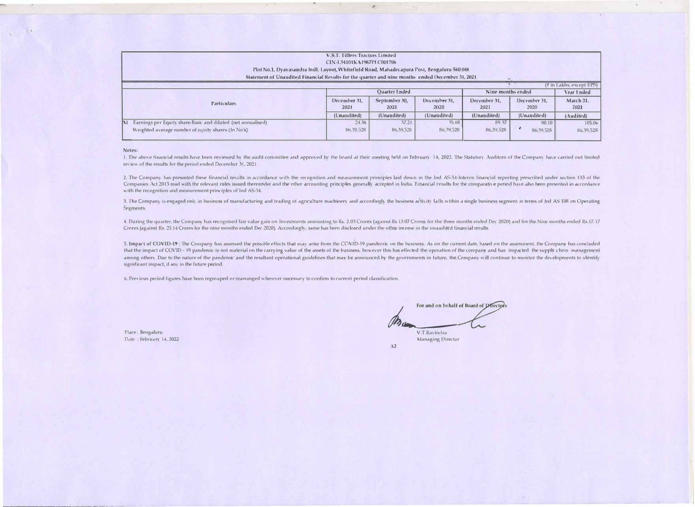| <b>V.S.T. Tillers Tractors Limited</b>                                                           |                      |                       |                      |                      |                      |                                  |
|--------------------------------------------------------------------------------------------------|----------------------|-----------------------|----------------------|----------------------|----------------------|----------------------------------|
| CIN-1.34101KA1967PLC001706                                                                       |                      |                       |                      |                      |                      |                                  |
| Plot No.1, Dyavasandra Indl. Layout, Whitefield Road, Mahadevapura Post, Bengaluru 560048        |                      |                       |                      |                      |                      |                                  |
| Statement of Unaudited Financial Results for the quarter and nine months ended December 31, 2021 |                      |                       |                      |                      |                      |                                  |
|                                                                                                  |                      |                       |                      |                      |                      | ( <i>i</i> in Lakhs, except EPS) |
| <b>Particulars</b>                                                                               | <b>Ouarter Ended</b> |                       |                      | Nine months ended    |                      | Year Ended                       |
|                                                                                                  | December 31.<br>2021 | September 30.<br>2021 | December 31.<br>2020 | December 31.<br>2021 | December 31.<br>2020 | March 31.<br>2021                |
|                                                                                                  | (Unaudited)          | (Unaudited)           | (Unaudited)          | (Unaudited)          | (Unaudited)          | (Audited)                        |
| Earnings per Equity share-Basic and diluted (not annualised)<br>N                                | 24.36                | 37.21                 | 35.68                | 89.37                | 90.10                | 105.06                           |
| Weighted average number of equity shares (In No's)                                               | 86,39,528            | 86,39,528             | 86, 39, 528          | 86,39,528            | 86,39,528            | 86,39,528                        |

,.

**Notes:** 

1. The above financial results have been reviewed by the audit committee and approved by the board at their meeting held on February 14, 2022. The Statutory Auditors of the Company have carried out limited review of the results for the period ended December 31, 2021.

2. The Company has presented these financial results in accordance with the recognition and measurement principles laid down in the Ind AS-34-Interim financial reporting prescribed under section 133 of the Companies Act 2013 read with the relevant rules issued thereunder and the other accounting principles generally accepted in India. Financial results for the comparative period have also been presented in accordance with the recognition and measurement principles of Ind AS-34.

3. The Company is engaged only in business of manufacturing and trading of agriculture machinery and accordingly the business activity falls within a single business segment in terms of Ind AS 108 on Operating Segments.

4. During the quarter, the Company has recognised fair value gain on Investments amounting to Rs. 2.03 Crores (against Rs 13.07 Crores for the three months ended Dec 2020) and for the Nine months ended Rs.17.17 Crores (against Rs. 25.14 Crores for the nine months ended Dec 2020). Accordingly, same has been disclosed under the other income in the unaudited financial results

5. Impact of COVID-19: The Company has assessed the possible effects that may arise from the COVID-19 pandemic on the business. As on the current date, based on the assessment, the Company has concluded that the impact of COVID - 19 pandemic is not material on the carrying value of the assets of the business, however this has effected the operation of the company and has impacted the supply chain management among others. Due to the nature of the pandemic and the resultant operational guidelines that may be announced by the governments in future, the Company will continue to monitor the developments to identify significant impact, if any in the future period.

6. Previous period figures have been regrouped or rearranged wherever necessary to confirm to current period classification.

Place: Bengaluru Date: February 14, 2022

For and on behalf of 1 V.T.Ravindra Managing Director

*Al*